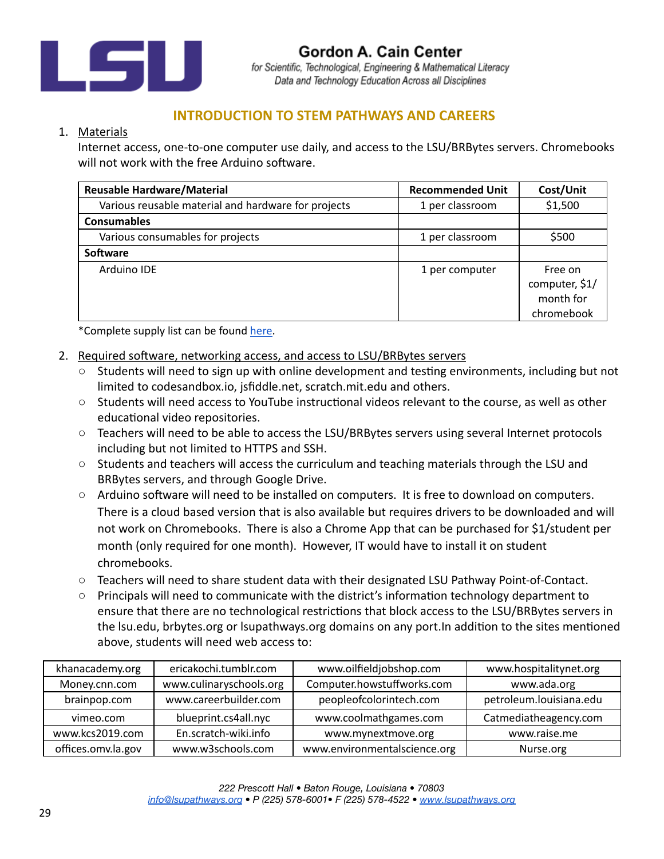

Gordon A. Cain Center for Scientific, Technological, Engineering & Mathematical Literacy Data and Technology Education Across all Disciplines

## **INTRODUCTION TO STEM PATHWAYS AND CAREERS**

## 1. Materials

Internet access, one-to-one computer use daily, and access to the LSU/BRBytes servers. Chromebooks will not work with the free Arduino software.

| <b>Reusable Hardware/Material</b>                   | <b>Recommended Unit</b> | Cost/Unit                                            |
|-----------------------------------------------------|-------------------------|------------------------------------------------------|
| Various reusable material and hardware for projects | 1 per classroom         | \$1,500                                              |
| <b>Consumables</b>                                  |                         |                                                      |
| Various consumables for projects                    | 1 per classroom         | \$500                                                |
| Software                                            |                         |                                                      |
| Arduino IDE                                         | 1 per computer          | Free on<br>computer, \$1/<br>month for<br>chromebook |

\*Complete supply list can be found [here](https://docs.google.com/spreadsheets/d/1NYKITh0qg3OqcgwesI373dm6gUvawE5X8Y5a-LqwWFU/edit).

- 2. Required software, networking access, and access to LSU/BRBytes servers
	- $\circ$  Students will need to sign up with online development and testing environments, including but not limited to codesandbox.io, jsfiddle.net, scratch.mit.edu and others.
	- Students will need access to YouTube instructional videos relevant to the course, as well as other educational video repositories.
	- Teachers will need to be able to access the LSU/BRBytes servers using several Internet protocols including but not limited to HTTPS and SSH.
	- Students and teachers will access the curriculum and teaching materials through the LSU and BRBytes servers, and through Google Drive.
	- Arduino software will need to be installed on computers. It is free to download on computers. There is a cloud based version that is also available but requires drivers to be downloaded and will not work on Chromebooks. There is also a Chrome App that can be purchased for \$1/student per month (only required for one month). However, IT would have to install it on student chromebooks.
	- Teachers will need to share student data with their designated LSU Pathway Point-of-Contact.
	- $\circ$  Principals will need to communicate with the district's information technology department to ensure that there are no technological restrictions that block access to the LSU/BRBytes servers in the Isu.edu, brbytes.org or Isupathways.org domains on any port. In addition to the sites mentioned above, students will need web access to:

| khanacademy.org    | ericakochi.tumblr.com   | www.oilfieldjobshop.com      | www.hospitalitynet.org  |
|--------------------|-------------------------|------------------------------|-------------------------|
| Money.cnn.com      | www.culinaryschools.org | Computer.howstuffworks.com   | www.ada.org             |
| brainpop.com       | www.careerbuilder.com   | peopleofcolorintech.com      | petroleum.louisiana.edu |
| vimeo.com          | blueprint.cs4all.nyc    | www.coolmathgames.com        | Catmediatheagency.com   |
| www.kcs2019.com    | En.scratch-wiki.info    | www.mynextmove.org           | www.raise.me            |
| offices.omv.la.gov | www.w3schools.com       | www.environmentalscience.org | Nurse.org               |